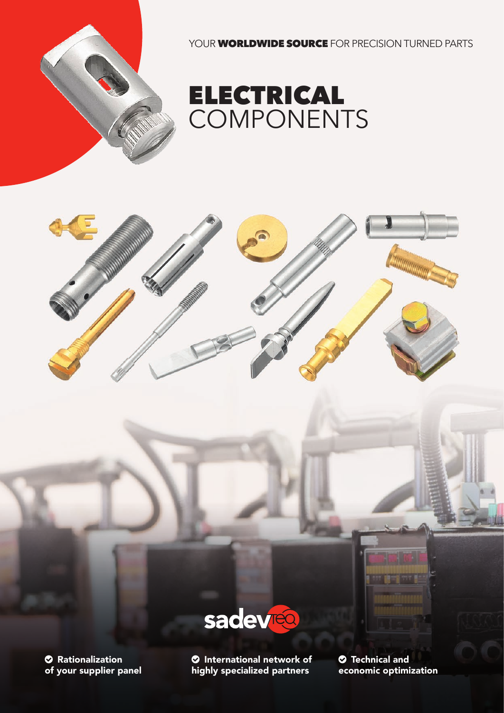

YOUR **WORLDWIDE SOURCE** FOR PRECISION TURNED PARTS







 Rationalization of your supplier panel

 International network of highly specialized partners

 Technical and economic optimization